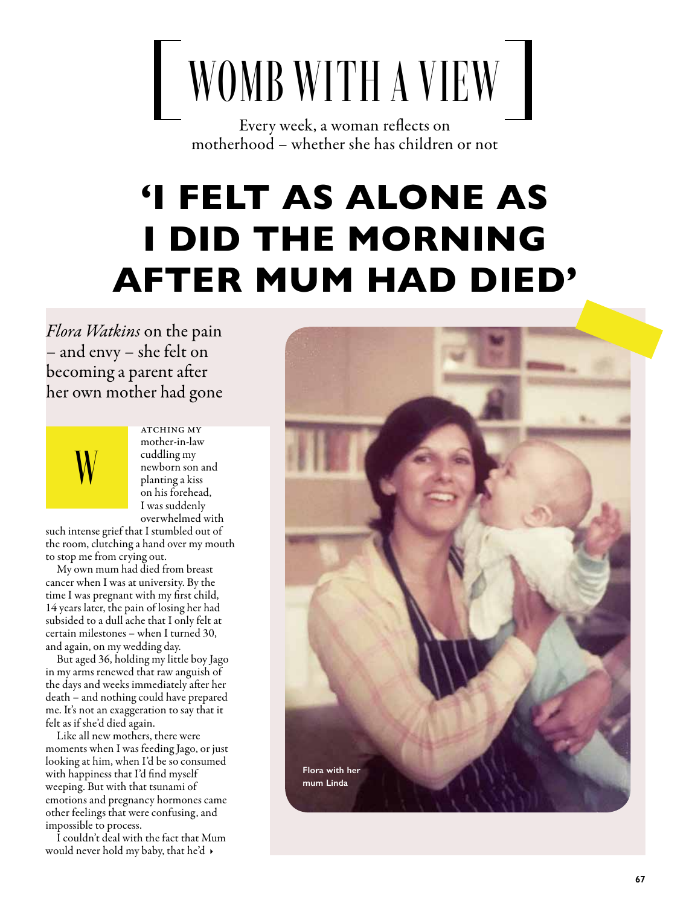## WOMB WITH A VIEW

Every week, a woman reflects on motherhood – whether she has children or not

## 'I FELT AS ALONE AS I DID THE MORNING AFTER MUM HAD DIED'

*Flora Watkins* on the pain – and envy – she felt on becoming a parent after her own mother had gone



**ATCHING MY** mother-in-law cuddling my newborn son and planting a kiss on his forehead, I was suddenly overwhelmed with

such intense grief that I stumbled out of the room, clutching a hand over my mouth to stop me from crying out.

My own mum had died from breast cancer when I was at university. By the time I was pregnant with my first child, 14 years later, the pain of losing her had subsided to a dull ache that I only felt at certain milestones – when I turned 30, and again, on my wedding day.

But aged 36, holding my little boy Jago in my arms renewed that raw anguish of the days and weeks immediately after her death – and nothing could have prepared me. It's not an exaggeration to say that it felt as if she'd died again.

Like all new mothers, there were moments when I was feeding Jago, or just looking at him, when I'd be so consumed with happiness that I'd find myself weeping. But with that tsunami of emotions and pregnancy hormones came other feelings that were confusing, and impossible to process.

I couldn't deal with the fact that Mum would never hold my baby, that he'd  $\rightarrow$